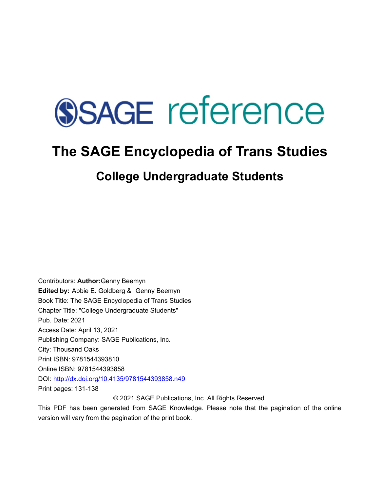# **SSAGE reference**

## **The SAGE Encyclopedia of Trans Studies**

### **College Undergraduate Students**

Contributors: **Author:**Genny Beemyn **Edited by:** [Abbie E. Goldberg](javascript:void(0);) & [Genny Beemyn](javascript:void(0);)  Book Title: The SAGE Encyclopedia of Trans Studies Chapter Title: "College Undergraduate Students" Pub. Date: 2021 Access Date: April 13, 2021 Publishing Company: SAGE Publications, Inc. City: Thousand Oaks Print ISBN: 9781544393810 Online ISBN: 9781544393858 DOI: <http://dx.doi.org/10.4135/9781544393858.n49> Print pages: 131-138

© 2021 SAGE Publications, Inc. All Rights Reserved.

This PDF has been generated from SAGE Knowledge. Please note that the pagination of the online version will vary from the pagination of the print book.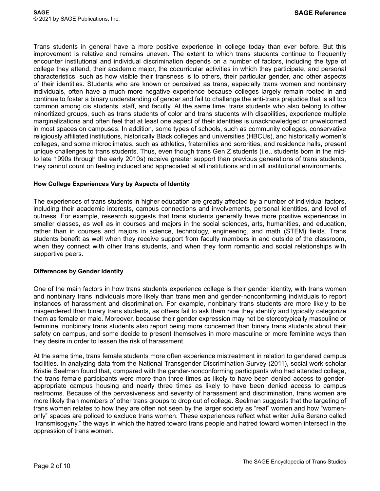Trans students in general have a more positive experience in college today than ever before. But this improvement is relative and remains uneven. The extent to which trans students continue to frequently encounter institutional and individual discrimination depends on a number of factors, including the type of college they attend, their academic major, the cocurricular activities in which they participate, and personal characteristics, such as how visible their transness is to others, their particular gender, and other aspects of their identities. Students who are known or perceived as trans, especially trans women and nonbinary individuals, often have a much more negative experience because colleges largely remain rooted in and continue to foster a binary understanding of gender and fail to challenge the anti-trans prejudice that is all too common among cis students, staff, and faculty. At the same time, trans students who also belong to other minoritized groups, such as trans students of color and trans students with disabilities, experience multiple marginalizations and often feel that at least one aspect of their identities is unacknowledged or unwelcomed in most spaces on campuses. In addition, some types of schools, such as community colleges, conservative religiously affiliated institutions, historically Black colleges and universities (HBCUs), and historically women's colleges, and some microclimates, such as athletics, fraternities and sororities, and residence halls, present unique challenges to trans students. Thus, even though trans Gen Z students (i.e., students born in the midto late 1990s through the early 2010s) receive greater support than previous generations of trans students, they cannot count on feeling included and appreciated at all institutions and in all institutional environments.

#### **How College Experiences Vary by Aspects of Identity**

The experiences of trans students in higher education are greatly affected by a number of individual factors, including their academic interests, campus connections and involvements, personal identities, and level of outness. For example, research suggests that trans students generally have more positive experiences in smaller classes, as well as in courses and majors in the social sciences, arts, humanities, and education, rather than in courses and majors in science, technology, engineering, and math (STEM) fields. Trans students benefit as well when they receive support from faculty members in and outside of the classroom, when they connect with other trans students, and when they form romantic and social relationships with supportive peers.

#### **Differences by Gender Identity**

One of the main factors in how trans students experience college is their gender identity, with trans women and nonbinary trans individuals more likely than trans men and gender-nonconforming individuals to report instances of harassment and discrimination. For example, nonbinary trans students are more likely to be misgendered than binary trans students, as others fail to ask them how they identify and typically categorize them as female or male. Moreover, because their gender expression may not be stereotypically masculine or feminine, nonbinary trans students also report being more concerned than binary trans students about their safety on campus, and some decide to present themselves in more masculine or more feminine ways than they desire in order to lessen the risk of harassment.

At the same time, trans female students more often experience mistreatment in relation to gendered campus facilities. In analyzing data from the National Transgender Discrimination Survey (2011), social work scholar Kristie Seelman found that, compared with the gender-nonconforming participants who had attended college, the trans female participants were more than three times as likely to have been denied access to genderappropriate campus housing and nearly three times as likely to have been denied access to campus restrooms. Because of the pervasiveness and severity of harassment and discrimination, trans women are more likely than members of other trans groups to drop out of college. Seelman suggests that the targeting of trans women relates to how they are often not seen by the larger society as "real" women and how "womenonly" spaces are policed to exclude trans women. These experiences reflect what writer Julia Serano called "transmisogyny," the ways in which the hatred toward trans people and hatred toward women intersect in the oppression of trans women.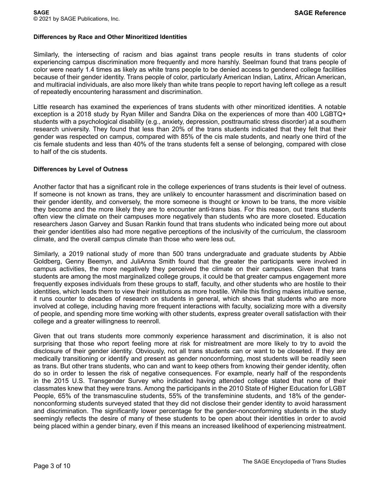#### **Differences by Race and Other Minoritized Identities**

Similarly, the intersecting of racism and bias against trans people results in trans students of color experiencing campus discrimination more frequently and more harshly. Seelman found that trans people of color were nearly 1.4 times as likely as white trans people to be denied access to gendered college facilities because of their gender identity. Trans people of color, particularly American Indian, Latinx, African American, and multiracial individuals, are also more likely than white trans people to report having left college as a result of repeatedly encountering harassment and discrimination.

Little research has examined the experiences of trans students with other minoritized identities. A notable exception is a 2018 study by Ryan Miller and Sandra Dika on the experiences of more than 400 LGBTQ+ students with a psychological disability (e.g., anxiety, depression, posttraumatic stress disorder) at a southern research university. They found that less than 20% of the trans students indicated that they felt that their gender was respected on campus, compared with 85% of the cis male students, and nearly one third of the cis female students and less than 40% of the trans students felt a sense of belonging, compared with close to half of the cis students.

#### **Differences by Level of Outness**

Another factor that has a significant role in the college experiences of trans students is their level of outness. If someone is not known as trans, they are unlikely to encounter harassment and discrimination based on their gender identity, and conversely, the more someone is thought or known to be trans, the more visible they become and the more likely they are to encounter anti-trans bias. For this reason, out trans students often view the climate on their campuses more negatively than students who are more closeted. Education researchers Jason Garvey and Susan Rankin found that trans students who indicated being more out about their gender identities also had more negative perceptions of the inclusivity of the curriculum, the classroom climate, and the overall campus climate than those who were less out.

Similarly, a 2019 national study of more than 500 trans undergraduate and graduate students by Abbie Goldberg, Genny Beemyn, and JuliAnna Smith found that the greater the participants were involved in campus activities, the more negatively they perceived the climate on their campuses. Given that trans students are among the most marginalized college groups, it could be that greater campus engagement more frequently exposes individuals from these groups to staff, faculty, and other students who are hostile to their identities, which leads them to view their institutions as more hostile. While this finding makes intuitive sense, it runs counter to decades of research on students in general, which shows that students who are more involved at college, including having more frequent interactions with faculty, socializing more with a diversity of people, and spending more time working with other students, express greater overall satisfaction with their college and a greater willingness to reenroll.

Given that out trans students more commonly experience harassment and discrimination, it is also not surprising that those who report feeling more at risk for mistreatment are more likely to try to avoid the disclosure of their gender identity. Obviously, not all trans students can or want to be closeted. If they are medically transitioning or identify and present as gender nonconforming, most students will be readily seen as trans. But other trans students, who can and want to keep others from knowing their gender identity, often do so in order to lessen the risk of negative consequences. For example, nearly half of the respondents in the 2015 U.S. Transgender Survey who indicated having attended college stated that none of their classmates knew that they were trans. Among the participants in the 2010 State of Higher Education for LGBT People, 65% of the transmasculine students, 55% of the transfeminine students, and 18% of the gendernonconforming students surveyed stated that they did not disclose their gender identity to avoid harassment and discrimination. The significantly lower percentage for the gender-nonconforming students in the study seemingly reflects the desire of many of these students to be open about their identities in order to avoid being placed within a gender binary, even if this means an increased likelihood of experiencing mistreatment.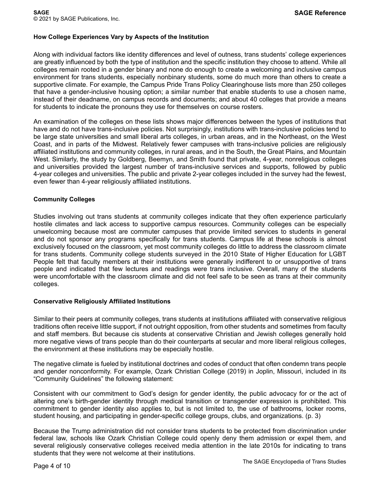#### **How College Experiences Vary by Aspects of the Institution**

Along with individual factors like identity differences and level of outness, trans students' college experiences are greatly influenced by both the type of institution and the specific institution they choose to attend. While all colleges remain rooted in a gender binary and none do enough to create a welcoming and inclusive campus environment for trans students, especially nonbinary students, some do much more than others to create a supportive climate. For example, the Campus Pride Trans Policy Clearinghouse lists more than 250 colleges that have a gender-inclusive housing option; a similar number that enable students to use a chosen name, instead of their deadname, on campus records and documents; and about 40 colleges that provide a means for students to indicate the pronouns they use for themselves on course rosters.

An examination of the colleges on these lists shows major differences between the types of institutions that have and do not have trans-inclusive policies. Not surprisingly, institutions with trans-inclusive policies tend to be large state universities and small liberal arts colleges, in urban areas, and in the Northeast, on the West Coast, and in parts of the Midwest. Relatively fewer campuses with trans-inclusive policies are religiously affiliated institutions and community colleges, in rural areas, and in the South, the Great Plains, and Mountain West. Similarly, the study by Goldberg, Beemyn, and Smith found that private, 4-year, nonreligious colleges and universities provided the largest number of trans-inclusive services and supports, followed by public 4-year colleges and universities. The public and private 2-year colleges included in the survey had the fewest, even fewer than 4-year religiously affiliated institutions.

#### **Community Colleges**

Studies involving out trans students at community colleges indicate that they often experience particularly hostile climates and lack access to supportive campus resources. Community colleges can be especially unwelcoming because most are commuter campuses that provide limited services to students in general and do not sponsor any programs specifically for trans students. Campus life at these schools is almost exclusively focused on the classroom, yet most community colleges do little to address the classroom climate for trans students. Community college students surveyed in the 2010 State of Higher Education for LGBT People felt that faculty members at their institutions were generally indifferent to or unsupportive of trans people and indicated that few lectures and readings were trans inclusive. Overall, many of the students were uncomfortable with the classroom climate and did not feel safe to be seen as trans at their community colleges.

#### **Conservative Religiously Affiliated Institutions**

Similar to their peers at community colleges, trans students at institutions affiliated with conservative religious traditions often receive little support, if not outright opposition, from other students and sometimes from faculty and staff members. But because cis students at conservative Christian and Jewish colleges generally hold more negative views of trans people than do their counterparts at secular and more liberal religious colleges, the environment at these institutions may be especially hostile.

The negative climate is fueled by institutional doctrines and codes of conduct that often condemn trans people and gender nonconformity. For example, Ozark Christian College (2019) in Joplin, Missouri, included in its "Community Guidelines" the following statement:

Consistent with our commitment to God's design for gender identity, the public advocacy for or the act of altering one's birth-gender identity through medical transition or transgender expression is prohibited. This commitment to gender identity also applies to, but is not limited to, the use of bathrooms, locker rooms, student housing, and participating in gender-specific college groups, clubs, and organizations. (p. 3)

Because the Trump administration did not consider trans students to be protected from discrimination under federal law, schools like Ozark Christian College could openly deny them admission or expel them, and several religiously conservative colleges received media attention in the late 2010s for indicating to trans students that they were not welcome at their institutions.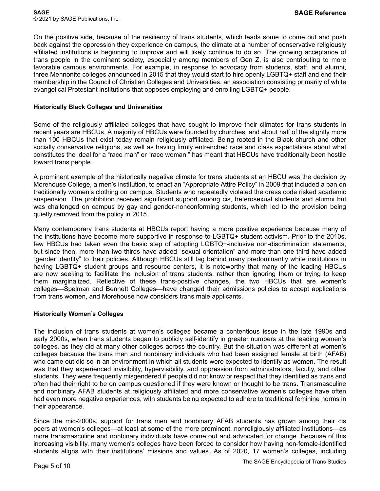On the positive side, because of the resiliency of trans students, which leads some to come out and push back against the oppression they experience on campus, the climate at a number of conservative religiously affiliated institutions is beginning to improve and will likely continue to do so. The growing acceptance of trans people in the dominant society, especially among members of Gen Z, is also contributing to more favorable campus environments. For example, in response to advocacy from students, staff, and alumni, three Mennonite colleges announced in 2015 that they would start to hire openly LGBTQ+ staff and end their membership in the Council of Christian Colleges and Universities, an association consisting primarily of white evangelical Protestant institutions that opposes employing and enrolling LGBTQ+ people.

#### **Historically Black Colleges and Universities**

Some of the religiously affiliated colleges that have sought to improve their climates for trans students in recent years are HBCUs. A majority of HBCUs were founded by churches, and about half of the slightly more than 100 HBCUs that exist today remain religiously affiliated. Being rooted in the Black church and other socially conservative religions, as well as having firmly entrenched race and class expectations about what constitutes the ideal for a "race man" or "race woman," has meant that HBCUs have traditionally been hostile toward trans people.

A prominent example of the historically negative climate for trans students at an HBCU was the decision by Morehouse College, a men's institution, to enact an "Appropriate Attire Policy" in 2009 that included a ban on traditionally women's clothing on campus. Students who repeatedly violated the dress code risked academic suspension. The prohibition received significant support among cis, heterosexual students and alumni but was challenged on campus by gay and gender-nonconforming students, which led to the provision being quietly removed from the policy in 2015.

Many contemporary trans students at HBCUs report having a more positive experience because many of the institutions have become more supportive in response to LGBTQ+ student activism. Prior to the 2010s, few HBCUs had taken even the basic step of adopting LGBTQ+-inclusive non-discrimination statements, but since then, more than two thirds have added "sexual orientation" and more than one third have added "gender identity" to their policies. Although HBCUs still lag behind many predominantly white institutions in having LGBTQ+ student groups and resource centers, it is noteworthy that many of the leading HBCUs are now seeking to facilitate the inclusion of trans students, rather than ignoring them or trying to keep them marginalized. Reflective of these trans-positive changes, the two HBCUs that are women's colleges—Spelman and Bennett Colleges—have changed their admissions policies to accept applications from trans women, and Morehouse now considers trans male applicants.

#### **Historically Women's Colleges**

The inclusion of trans students at women's colleges became a contentious issue in the late 1990s and early 2000s, when trans students began to publicly self-identify in greater numbers at the leading women's colleges, as they did at many other colleges across the country. But the situation was different at women's colleges because the trans men and nonbinary individuals who had been assigned female at birth (AFAB) who came out did so in an environment in which all students were expected to identify as women. The result was that they experienced invisibility, hypervisibility, and oppression from administrators, faculty, and other students. They were frequently misgendered if people did not know or respect that they identified as trans and often had their right to be on campus questioned if they were known or thought to be trans. Transmasculine and nonbinary AFAB students at religiously affiliated and more conservative women's colleges have often had even more negative experiences, with students being expected to adhere to traditional feminine norms in their appearance.

Since the mid-2000s, support for trans men and nonbinary AFAB students has grown among their cis peers at women's colleges—at least at some of the more prominent, nonreligiously affiliated institutions—as more transmasculine and nonbinary individuals have come out and advocated for change. Because of this increasing visibility, many women's colleges have been forced to consider how having non-female-identified students aligns with their institutions' missions and values. As of 2020, 17 women's colleges, including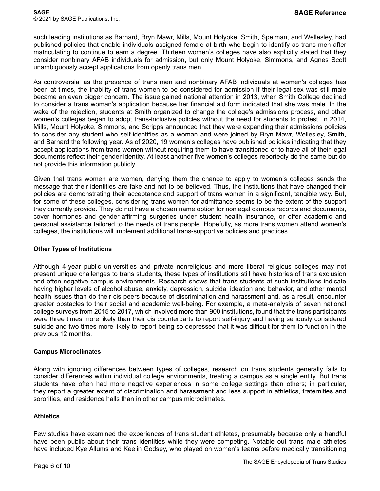such leading institutions as Barnard, Bryn Mawr, Mills, Mount Holyoke, Smith, Spelman, and Wellesley, had published policies that enable individuals assigned female at birth who begin to identify as trans men after matriculating to continue to earn a degree. Thirteen women's colleges have also explicitly stated that they consider nonbinary AFAB individuals for admission, but only Mount Holyoke, Simmons, and Agnes Scott unambiguously accept applications from openly trans men.

As controversial as the presence of trans men and nonbinary AFAB individuals at women's colleges has been at times, the inability of trans women to be considered for admission if their legal sex was still male became an even bigger concern. The issue gained national attention in 2013, when Smith College declined to consider a trans woman's application because her financial aid form indicated that she was male. In the wake of the rejection, students at Smith organized to change the college's admissions process, and other women's colleges began to adopt trans-inclusive policies without the need for students to protest. In 2014, Mills, Mount Holyoke, Simmons, and Scripps announced that they were expanding their admissions policies to consider any student who self-identifies as a woman and were joined by Bryn Mawr, Wellesley, Smith, and Barnard the following year. As of 2020, 19 women's colleges have published policies indicating that they accept applications from trans women without requiring them to have transitioned or to have all of their legal documents reflect their gender identity. At least another five women's colleges reportedly do the same but do not provide this information publicly.

Given that trans women are women, denying them the chance to apply to women's colleges sends the message that their identities are fake and not to be believed. Thus, the institutions that have changed their policies are demonstrating their acceptance and support of trans women in a significant, tangible way. But, for some of these colleges, considering trans women for admittance seems to be the extent of the support they currently provide. They do not have a chosen name option for nonlegal campus records and documents, cover hormones and gender-affirming surgeries under student health insurance, or offer academic and personal assistance tailored to the needs of trans people. Hopefully, as more trans women attend women's colleges, the institutions will implement additional trans-supportive policies and practices.

#### **Other Types of Institutions**

Although 4-year public universities and private nonreligious and more liberal religious colleges may not present unique challenges to trans students, these types of institutions still have histories of trans exclusion and often negative campus environments. Research shows that trans students at such institutions indicate having higher levels of alcohol abuse, anxiety, depression, suicidal ideation and behavior, and other mental health issues than do their cis peers because of discrimination and harassment and, as a result, encounter greater obstacles to their social and academic well-being. For example, a meta-analysis of seven national college surveys from 2015 to 2017, which involved more than 900 institutions, found that the trans participants were three times more likely than their cis counterparts to report self-injury and having seriously considered suicide and two times more likely to report being so depressed that it was difficult for them to function in the previous 12 months.

#### **Campus Microclimates**

Along with ignoring differences between types of colleges, research on trans students generally fails to consider differences within individual college environments, treating a campus as a single entity. But trans students have often had more negative experiences in some college settings than others; in particular, they report a greater extent of discrimination and harassment and less support in athletics, fraternities and sororities, and residence halls than in other campus microclimates.

#### **Athletics**

Few studies have examined the experiences of trans student athletes, presumably because only a handful have been public about their trans identities while they were competing. Notable out trans male athletes have included Kye Allums and Keelin Godsey, who played on women's teams before medically transitioning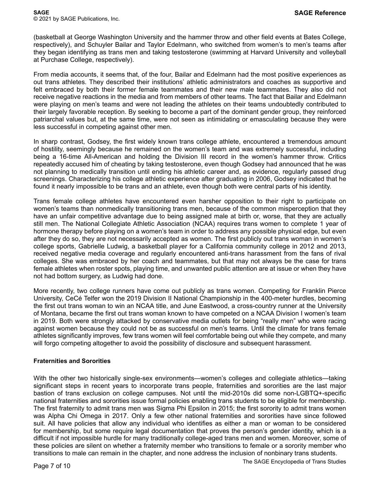(basketball at George Washington University and the hammer throw and other field events at Bates College, respectively), and Schuyler Bailar and Taylor Edelmann, who switched from women's to men's teams after they began identifying as trans men and taking testosterone (swimming at Harvard University and volleyball at Purchase College, respectively).

From media accounts, it seems that, of the four, Bailar and Edelmann had the most positive experiences as out trans athletes. They described their institutions' athletic administrators and coaches as supportive and felt embraced by both their former female teammates and their new male teammates. They also did not receive negative reactions in the media and from members of other teams. The fact that Bailar and Edelmann were playing on men's teams and were not leading the athletes on their teams undoubtedly contributed to their largely favorable reception. By seeking to become a part of the dominant gender group, they reinforced patriarchal values but, at the same time, were not seen as intimidating or emasculating because they were less successful in competing against other men.

In sharp contrast, Godsey, the first widely known trans college athlete, encountered a tremendous amount of hostility, seemingly because he remained on the women's team and was extremely successful, including being a 16-time All-American and holding the Division III record in the women's hammer throw. Critics repeatedly accused him of cheating by taking testosterone, even though Godsey had announced that he was not planning to medically transition until ending his athletic career and, as evidence, regularly passed drug screenings. Characterizing his college athletic experience after graduating in 2006, Godsey indicated that he found it nearly impossible to be trans and an athlete, even though both were central parts of his identity.

Trans female college athletes have encountered even harsher opposition to their right to participate on women's teams than nonmedically transitioning trans men, because of the common misperception that they have an unfair competitive advantage due to being assigned male at birth or, worse, that they are actually still men. The National Collegiate Athletic Association (NCAA) requires trans women to complete 1 year of hormone therapy before playing on a women's team in order to address any possible physical edge, but even after they do so, they are not necessarily accepted as women. The first publicly out trans woman in women's college sports, Gabrielle Ludwig, a basketball player for a California community college in 2012 and 2013, received negative media coverage and regularly encountered anti-trans harassment from the fans of rival colleges. She was embraced by her coach and teammates, but that may not always be the case for trans female athletes when roster spots, playing time, and unwanted public attention are at issue or when they have not had bottom surgery, as Ludwig had done.

More recently, two college runners have come out publicly as trans women. Competing for Franklin Pierce University, CeCé Telfer won the 2019 Division II National Championship in the 400-meter hurdles, becoming the first out trans woman to win an NCAA title, and June Eastwood, a cross-country runner at the University of Montana, became the first out trans woman known to have competed on a NCAA Division I women's team in 2019. Both were strongly attacked by conservative media outlets for being "really men" who were racing against women because they could not be as successful on men's teams. Until the climate for trans female athletes significantly improves, few trans women will feel comfortable being out while they compete, and many will forgo competing altogether to avoid the possibility of disclosure and subsequent harassment.

#### **Fraternities and Sororities**

With the other two historically single-sex environments—women's colleges and collegiate athletics—taking significant steps in recent years to incorporate trans people, fraternities and sororities are the last major bastion of trans exclusion on college campuses. Not until the mid-2010s did some non-LGBTQ+-specific national fraternities and sororities issue formal policies enabling trans students to be eligible for membership. The first fraternity to admit trans men was Sigma Phi Epsilon in 2015; the first sorority to admit trans women was Alpha Chi Omega in 2017. Only a few other national fraternities and sororities have since followed suit. All have policies that allow any individual who identifies as either a man or woman to be considered for membership, but some require legal documentation that proves the person's gender identity, which is a difficult if not impossible hurdle for many traditionally college-aged trans men and women. Moreover, some of these policies are silent on whether a fraternity member who transitions to female or a sorority member who transitions to male can remain in the chapter, and none address the inclusion of nonbinary trans students.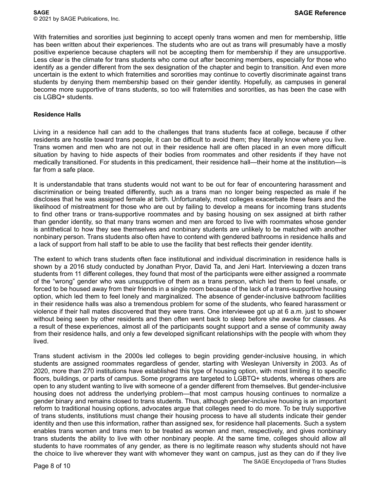With fraternities and sororities just beginning to accept openly trans women and men for membership, little has been written about their experiences. The students who are out as trans will presumably have a mostly positive experience because chapters will not be accepting them for membership if they are unsupportive. Less clear is the climate for trans students who come out after becoming members, especially for those who identify as a gender different from the sex designation of the chapter and begin to transition. And even more uncertain is the extent to which fraternities and sororities may continue to covertly discriminate against trans students by denying them membership based on their gender identity. Hopefully, as campuses in general become more supportive of trans students, so too will fraternities and sororities, as has been the case with cis LGBQ+ students.

#### **Residence Halls**

Living in a residence hall can add to the challenges that trans students face at college, because if other residents are hostile toward trans people, it can be difficult to avoid them; they literally know where you live. Trans women and men who are not out in their residence hall are often placed in an even more difficult situation by having to hide aspects of their bodies from roommates and other residents if they have not medically transitioned. For students in this predicament, their residence hall—their home at the institution—is far from a safe place.

It is understandable that trans students would not want to be out for fear of encountering harassment and discrimination or being treated differently, such as a trans man no longer being respected as male if he discloses that he was assigned female at birth. Unfortunately, most colleges exacerbate these fears and the likelihood of mistreatment for those who are out by failing to develop a means for incoming trans students to find other trans or trans-supportive roommates and by basing housing on sex assigned at birth rather than gender identity, so that many trans women and men are forced to live with roommates whose gender is antithetical to how they see themselves and nonbinary students are unlikely to be matched with another nonbinary person. Trans students also often have to contend with gendered bathrooms in residence halls and a lack of support from hall staff to be able to use the facility that best reflects their gender identity.

The extent to which trans students often face institutional and individual discrimination in residence halls is shown by a 2016 study conducted by Jonathan Pryor, David Ta, and Jeni Hart. Interviewing a dozen trans students from 11 different colleges, they found that most of the participants were either assigned a roommate of the "wrong" gender who was unsupportive of them as a trans person, which led them to feel unsafe, or forced to be housed away from their friends in a single room because of the lack of a trans-supportive housing option, which led them to feel lonely and marginalized. The absence of gender-inclusive bathroom facilities in their residence halls was also a tremendous problem for some of the students, who feared harassment or violence if their hall mates discovered that they were trans. One interviewee got up at 6 a.m. just to shower without being seen by other residents and then often went back to sleep before she awoke for classes. As a result of these experiences, almost all of the participants sought support and a sense of community away from their residence halls, and only a few developed significant relationships with the people with whom they lived.

Trans student activism in the 2000s led colleges to begin providing gender-inclusive housing, in which students are assigned roommates regardless of gender, starting with Wesleyan University in 2003. As of 2020, more than 270 institutions have established this type of housing option, with most limiting it to specific floors, buildings, or parts of campus. Some programs are targeted to LGBTQ+ students, whereas others are open to any student wanting to live with someone of a gender different from themselves. But gender-inclusive housing does not address the underlying problem—that most campus housing continues to normalize a gender binary and remains closed to trans students. Thus, although gender-inclusive housing is an important reform to traditional housing options, advocates argue that colleges need to do more. To be truly supportive of trans students, institutions must change their housing process to have all students indicate their gender identity and then use this information, rather than assigned sex, for residence hall placements. Such a system enables trans women and trans men to be treated as women and men, respectively, and gives nonbinary trans students the ability to live with other nonbinary people. At the same time, colleges should allow all students to have roommates of any gender, as there is no legitimate reason why students should not have the choice to live wherever they want with whomever they want on campus, just as they can do if they live Page 8 of 10 The SAGE Encyclopedia of Trans Studies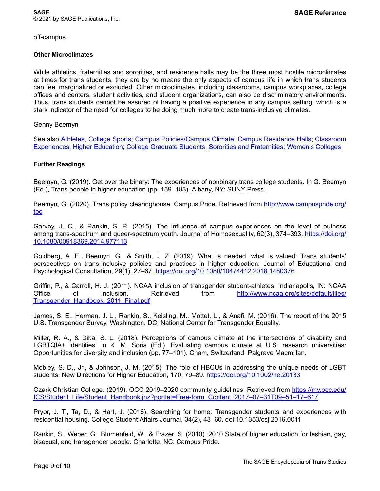off-campus.

#### **Other Microclimates**

While athletics, fraternities and sororities, and residence halls may be the three most hostile microclimates at times for trans students, they are by no means the only aspects of campus life in which trans students can feel marginalized or excluded. Other microclimates, including classrooms, campus workplaces, college offices and centers, student activities, and student organizations, can also be discriminatory environments. Thus, trans students cannot be assured of having a positive experience in any campus setting, which is a stark indicator of the need for colleges to be doing much more to create trans-inclusive climates.

Genny Beemyn

See also [Athletes, College Sports;](http://sk.sagepub.com/reference/the-sage-encyclopedia-of-trans-studies/i1243.xml) [Campus Policies/Campus Climate](http://sk.sagepub.com/reference/the-sage-encyclopedia-of-trans-studies/i1541.xml); [Campus Residence Halls;](http://sk.sagepub.com/reference/the-sage-encyclopedia-of-trans-studies/i1569.xml) [Classroom](http://sk.sagepub.com/reference/the-sage-encyclopedia-of-trans-studies/i1801.xml)  [Experiences, Higher Education](http://sk.sagepub.com/reference/the-sage-encyclopedia-of-trans-studies/i1801.xml); [College Graduate Students;](http://sk.sagepub.com/reference/the-sage-encyclopedia-of-trans-studies/i1816.xml) [Sororities and Fraternities;](http://sk.sagepub.com/reference/the-sage-encyclopedia-of-trans-studies/i6595.xml) [Women's Colleges](http://sk.sagepub.com/reference/the-sage-encyclopedia-of-trans-studies/i7502.xml) 

#### **Further Readings**

Beemyn, G. (2019). Get over the binary: The experiences of nonbinary trans college students. In G. Beemyn (Ed.), Trans people in higher education (pp. 159–183). Albany, NY: SUNY Press.

Beemyn, G. (2020). Trans policy clearinghouse. Campus Pride. Retrieved from [http://www.campuspride.org/](http://www.campuspride.org/tpc) [tpc](http://www.campuspride.org/tpc) 

Garvey, J. C., & Rankin, S. R. (2015). The influence of campus experiences on the level of outness among trans-spectrum and queer-spectrum youth. Journal of Homosexuality, 62(3), 374–393. [https://doi.org/](https://doi.org/10.1080/00918369.2014.977113) [10.1080/00918369.2014.977113](https://doi.org/10.1080/00918369.2014.977113)

Goldberg, A. E., Beemyn, G., & Smith, J. Z. (2019). What is needed, what is valued: Trans students' perspectives on trans-inclusive policies and practices in higher education. Journal of Educational and Psychological Consultation, 29(1), 27–67. <https://doi.org/10.1080/10474412.2018.1480376>

Griffin, P., & Carroll, H. J. (2011). NCAA inclusion of transgender student-athletes. Indianapolis, IN: NCAA Office of Inclusion. Retrieved from [http://www.ncaa.org/sites/default/files/](http://www.ncaa.org/sites/default/files/Transgender_Handbook_2011_Final.pdf) [Transgender\\_Handbook\\_2011\\_Final.pdf](http://www.ncaa.org/sites/default/files/Transgender_Handbook_2011_Final.pdf)

James, S. E., Herman, J. L., Rankin, S., Keisling, M., Mottet, L., & Anafi, M. (2016). The report of the 2015 U.S. Transgender Survey. Washington, DC: National Center for Transgender Equality.

Miller, R. A., & Dika, S. L. (2018). Perceptions of campus climate at the intersections of disability and LGBTQIA+ identities. In K. M. Soria (Ed.), Evaluating campus climate at U.S. research universities: Opportunities for diversity and inclusion (pp. 77–101). Cham, Switzerland: Palgrave Macmillan.

Mobley, S. D., Jr., & Johnson, J. M. (2015). The role of HBCUs in addressing the unique needs of LGBT students. New Directions for Higher Education, 170, 79–89. <https://doi.org/10.1002/he.20133>

Ozark Christian College. (2019). OCC 2019–2020 community guidelines. Retrieved from [https://my.occ.edu/](https://my.occ.edu/ICS/Student_Life/Student_Handbook.jnz?portlet=Free-form_Content_2017%E2%80%9307%E2%80%9331T09%E2%80%9351%E2%80%9317%E2%80%93617) [ICS/Student\\_Life/Student\\_Handbook.jnz?portlet=Free-form\\_Content\\_2017–07–31T09–51–17–617](https://my.occ.edu/ICS/Student_Life/Student_Handbook.jnz?portlet=Free-form_Content_2017%E2%80%9307%E2%80%9331T09%E2%80%9351%E2%80%9317%E2%80%93617) 

Pryor, J. T., Ta, D., & Hart, J. (2016). Searching for home: Transgender students and experiences with residential housing. College Student Affairs Journal, 34(2), 43–60. doi:10.1353/csj.2016.0011

Rankin, S., Weber, G., Blumenfeld, W., & Frazer, S. (2010). 2010 State of higher education for lesbian, gay, bisexual, and transgender people. Charlotte, NC: Campus Pride.